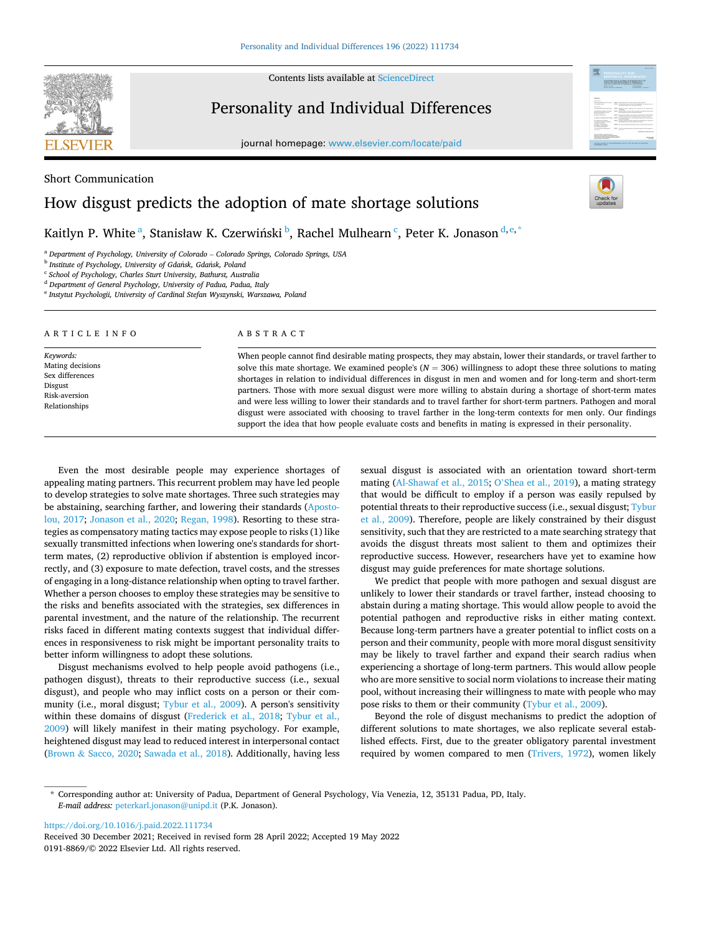Contents lists available at [ScienceDirect](www.sciencedirect.com/science/journal/01918869)



Short Communication

## Personality and Individual Differences

journal homepage: [www.elsevier.com/locate/paid](https://www.elsevier.com/locate/paid)



# How disgust predicts the adoption of mate shortage solutions

Kaitlyn P. White<sup>a</sup>, Stanisław K. Czerwiński <sup>b</sup>, Rachel Mulhearn <sup>c</sup>, Peter K. Jonason <sup>d, e, \*</sup>

<sup>a</sup> *Department of Psychology, University of Colorado* – *Colorado Springs, Colorado Springs, USA* 

<sup>b</sup> Institute of Psychology, University of Gdańsk, Gdańsk, Poland

<sup>c</sup> *School of Psychology, Charles Sturt University, Bathurst, Australia* 

<sup>d</sup> *Department of General Psychology, University of Padua, Padua, Italy* 

<sup>e</sup> *Instytut Psychologii, University of Cardinal Stefan Wyszynski, Warszawa, Poland* 

| ARTICLE INFO                                                                                  | ABSTRACT                                                                                                                                                                                                                                                                                                                                                                                                                                                                                                                                                                                                                                                                                                                                                                                                               |
|-----------------------------------------------------------------------------------------------|------------------------------------------------------------------------------------------------------------------------------------------------------------------------------------------------------------------------------------------------------------------------------------------------------------------------------------------------------------------------------------------------------------------------------------------------------------------------------------------------------------------------------------------------------------------------------------------------------------------------------------------------------------------------------------------------------------------------------------------------------------------------------------------------------------------------|
| Keywords:<br>Mating decisions<br>Sex differences<br>Disgust<br>Risk-aversion<br>Relationships | When people cannot find desirable mating prospects, they may abstain, lower their standards, or travel farther to<br>solve this mate shortage. We examined people's ( $N = 306$ ) willingness to adopt these three solutions to mating<br>shortages in relation to individual differences in disgust in men and women and for long-term and short-term<br>partners. Those with more sexual disgust were more willing to abstain during a shortage of short-term mates<br>and were less willing to lower their standards and to travel farther for short-term partners. Pathogen and moral<br>disgust were associated with choosing to travel farther in the long-term contexts for men only. Our findings<br>support the idea that how people evaluate costs and benefits in mating is expressed in their personality. |

Even the most desirable people may experience shortages of appealing mating partners. This recurrent problem may have led people to develop strategies to solve mate shortages. Three such strategies may be abstaining, searching farther, and lowering their standards ([Aposto](#page-2-0)[lou, 2017;](#page-2-0) [Jonason et al., 2020;](#page-2-0) [Regan, 1998](#page-2-0)). Resorting to these strategies as compensatory mating tactics may expose people to risks (1) like sexually transmitted infections when lowering one's standards for shortterm mates, (2) reproductive oblivion if abstention is employed incorrectly, and (3) exposure to mate defection, travel costs, and the stresses of engaging in a long-distance relationship when opting to travel farther. Whether a person chooses to employ these strategies may be sensitive to the risks and benefits associated with the strategies, sex differences in parental investment, and the nature of the relationship. The recurrent risks faced in different mating contexts suggest that individual differences in responsiveness to risk might be important personality traits to better inform willingness to adopt these solutions.

Disgust mechanisms evolved to help people avoid pathogens (i.e., pathogen disgust), threats to their reproductive success (i.e., sexual disgust), and people who may inflict costs on a person or their community (i.e., moral disgust; [Tybur et al., 2009\)](#page-3-0). A person's sensitivity within these domains of disgust ([Frederick et al., 2018](#page-2-0); [Tybur et al.,](#page-3-0)  [2009\)](#page-3-0) will likely manifest in their mating psychology. For example, heightened disgust may lead to reduced interest in interpersonal contact (Brown & [Sacco, 2020;](#page-2-0) [Sawada et al., 2018](#page-3-0)). Additionally, having less sexual disgust is associated with an orientation toward short-term mating ([Al-Shawaf et al., 2015;](#page-2-0) O'[Shea et al., 2019](#page-2-0)), a mating strategy that would be difficult to employ if a person was easily repulsed by potential threats to their reproductive success (i.e., sexual disgust; [Tybur](#page-3-0)  [et al., 2009\)](#page-3-0). Therefore, people are likely constrained by their disgust sensitivity, such that they are restricted to a mate searching strategy that avoids the disgust threats most salient to them and optimizes their reproductive success. However, researchers have yet to examine how disgust may guide preferences for mate shortage solutions.

We predict that people with more pathogen and sexual disgust are unlikely to lower their standards or travel farther, instead choosing to abstain during a mating shortage. This would allow people to avoid the potential pathogen and reproductive risks in either mating context. Because long-term partners have a greater potential to inflict costs on a person and their community, people with more moral disgust sensitivity may be likely to travel farther and expand their search radius when experiencing a shortage of long-term partners. This would allow people who are more sensitive to social norm violations to increase their mating pool, without increasing their willingness to mate with people who may pose risks to them or their community ([Tybur et al., 2009](#page-3-0)).

Beyond the role of disgust mechanisms to predict the adoption of different solutions to mate shortages, we also replicate several established effects. First, due to the greater obligatory parental investment required by women compared to men ([Trivers, 1972](#page-3-0)), women likely

<https://doi.org/10.1016/j.paid.2022.111734>

0191-8869/© 2022 Elsevier Ltd. All rights reserved. Received 30 December 2021; Received in revised form 28 April 2022; Accepted 19 May 2022

<sup>\*</sup> Corresponding author at: University of Padua, Department of General Psychology, Via Venezia, 12, 35131 Padua, PD, Italy. *E-mail address:* [peterkarl.jonason@unipd.it](mailto:peterkarl.jonason@unipd.it) (P.K. Jonason).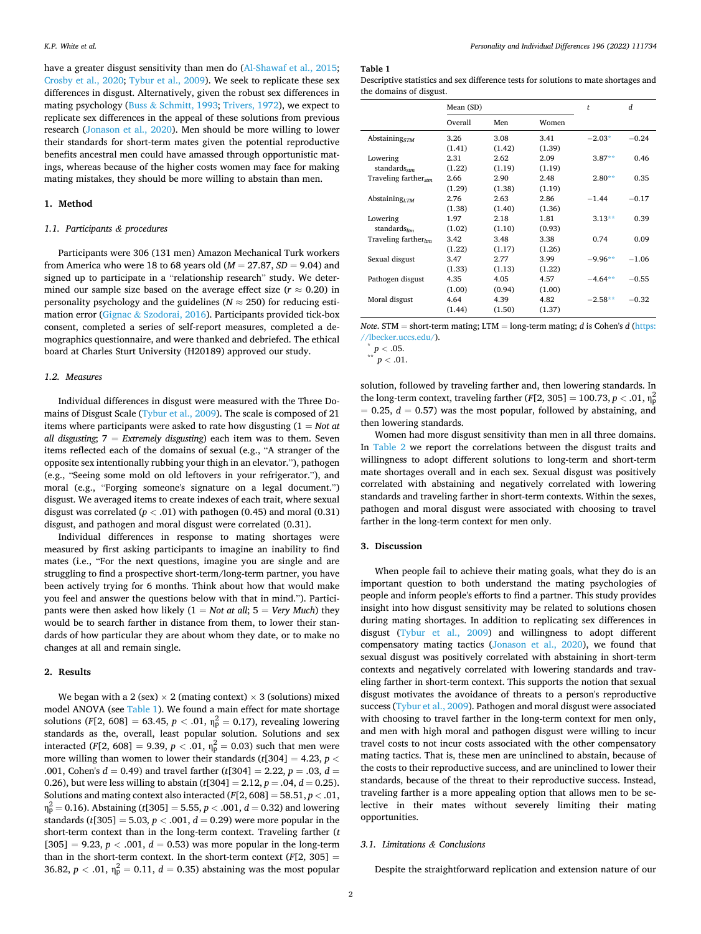have a greater disgust sensitivity than men do [\(Al-Shawaf et al., 2015](#page-2-0); [Crosby et al., 2020](#page-2-0); [Tybur et al., 2009](#page-3-0)). We seek to replicate these sex differences in disgust. Alternatively, given the robust sex differences in mating psychology (Buss & [Schmitt, 1993](#page-2-0); [Trivers, 1972\)](#page-3-0), we expect to replicate sex differences in the appeal of these solutions from previous research [\(Jonason et al., 2020](#page-2-0)). Men should be more willing to lower their standards for short-term mates given the potential reproductive benefits ancestral men could have amassed through opportunistic matings, whereas because of the higher costs women may face for making mating mistakes, they should be more willing to abstain than men.

#### **1. Method**

#### *1.1. Participants & procedures*

Participants were 306 (131 men) Amazon Mechanical Turk workers from America who were 18 to 68 years old (*M* = 27.87, *SD* = 9.04) and signed up to participate in a "relationship research" study. We determined our sample size based on the average effect size ( $r \approx 0.20$ ) in personality psychology and the guidelines ( $N \approx 250$ ) for reducing estimation error (Gignac & [Szodorai, 2016](#page-2-0)). Participants provided tick-box consent, completed a series of self-report measures, completed a demographics questionnaire, and were thanked and debriefed. The ethical board at Charles Sturt University (H20189) approved our study.

### *1.2. Measures*

Individual differences in disgust were measured with the Three Domains of Disgust Scale ([Tybur et al., 2009\)](#page-3-0). The scale is composed of 21 items where participants were asked to rate how disgusting (1 = *Not at all disgusting*; 7 = *Extremely disgusting*) each item was to them. Seven items reflected each of the domains of sexual (e.g., "A stranger of the opposite sex intentionally rubbing your thigh in an elevator."), pathogen (e.g., "Seeing some mold on old leftovers in your refrigerator."), and moral (e.g., "Forging someone's signature on a legal document.") disgust. We averaged items to create indexes of each trait, where sexual disgust was correlated  $(p < .01)$  with pathogen (0.45) and moral (0.31) disgust, and pathogen and moral disgust were correlated (0.31).

Individual differences in response to mating shortages were measured by first asking participants to imagine an inability to find mates (i.e., "For the next questions, imagine you are single and are struggling to find a prospective short-term/long-term partner, you have been actively trying for 6 months. Think about how that would make you feel and answer the questions below with that in mind."). Participants were then asked how likely (1 = *Not at all*; 5 = *Very Much*) they would be to search farther in distance from them, to lower their standards of how particular they are about whom they date, or to make no changes at all and remain single.

#### **2. Results**

We began with a 2 (sex)  $\times$  2 (mating context)  $\times$  3 (solutions) mixed model ANOVA (see Table 1). We found a main effect for mate shortage solutions (*F*[2, 608] = 63.45,  $p < .01$ ,  $\eta_p^2 = 0.17$ ), revealing lowering standards as the, overall, least popular solution. Solutions and sex interacted  $(F[2, 608] = 9.39, p < .01, \eta_{p}^{2} = 0.03)$  such that men were more willing than women to lower their standards (*t*[304] = 4.23, *p <* .001, Cohen's  $d = 0.49$ ) and travel farther ( $t$ [304] = 2.22,  $p = .03$ ,  $d =$ 0.26), but were less willing to abstain  $(t[304] = 2.12, p = .04, d = 0.25)$ . Solutions and mating context also interacted (*F*[2, 608] = 58.51, *p <* .01,  $\eta_{\rm p}^2 = 0.16$ ). Abstaining (*t*[305] = 5.55, *p* < .001, *d* = 0.32) and lowering standards ( $t$ [305] = 5.03,  $p$  < .001,  $d$  = 0.29) were more popular in the short-term context than in the long-term context. Traveling farther (*t*   $[305] = 9.23, p < .001, d = 0.53$  was more popular in the long-term than in the short-term context. In the short-term context  $(F[2, 305] =$ 36.82,  $p < .01$ ,  $\eta_{\rm p}^2 = 0.11$ ,  $d = 0.35$ ) abstaining was the most popular

## **Table 1**

| Descriptive statistics and sex difference tests for solutions to mate shortages and |  |
|-------------------------------------------------------------------------------------|--|
| the domains of disgust.                                                             |  |

|                                  | Mean (SD) |        |        | t         | d       |
|----------------------------------|-----------|--------|--------|-----------|---------|
|                                  | Overall   | Men    | Women  |           |         |
| Abstaining <sub>STM</sub>        | 3.26      | 3.08   | 3.41   | $-2.03*$  | $-0.24$ |
|                                  | (1.41)    | (1.42) | (1.39) |           |         |
| Lowering                         | 2.31      | 2.62   | 2.09   | $3.87**$  | 0.46    |
| standards <sub>stm</sub>         | (1.22)    | (1.19) | (1.19) |           |         |
| Traveling farther <sub>stm</sub> | 2.66      | 2.90   | 2.48   | $2.80**$  | 0.35    |
|                                  | (1.29)    | (1.38) | (1.19) |           |         |
| Abstaining $_{LTM}$              | 2.76      | 2.63   | 2.86   | $-1.44$   | $-0.17$ |
|                                  | (1.38)    | (1.40) | (1.36) |           |         |
| Lowering                         | 1.97      | 2.18   | 1.81   | $3.13**$  | 0.39    |
| standards $_{lm}$                | (1.02)    | (1.10) | (0.93) |           |         |
| Traveling farther $_{lm}$        | 3.42      | 3.48   | 3.38   | 0.74      | 0.09    |
|                                  | (1.22)    | (1.17) | (1.26) |           |         |
| Sexual disgust                   | 3.47      | 2.77   | 3.99   | $-9.96**$ | $-1.06$ |
|                                  | (1.33)    | (1.13) | (1.22) |           |         |
| Pathogen disgust                 | 4.35      | 4.05   | 4.57   | $-4.64**$ | $-0.55$ |
|                                  | (1.00)    | (0.94) | (1.00) |           |         |
| Moral disgust                    | 4.64      | 4.39   | 4.82   | $-2.58**$ | $-0.32$ |
|                                  | (1.44)    | (1.50) | (1.37) |           |         |

*Note*. STM = short-term mating; LTM = long-term mating; *d* is Cohen's *d* ([https:](https://lbecker.uccs.edu/)  [//lbecker.uccs.edu/\)](https://lbecker.uccs.edu/). \* *<sup>p</sup><sup>&</sup>lt;* .05. \*\* *<sup>p</sup><sup>&</sup>lt;* .01.

solution, followed by traveling farther and, then lowering standards. In the long-term context, traveling farther  $(F[2, 305] = 100.73, p < .01, \eta_p^2$  $= 0.25, d = 0.57$ ) was the most popular, followed by abstaining, and then lowering standards.

Women had more disgust sensitivity than men in all three domains. In [Table 2](#page-2-0) we report the correlations between the disgust traits and willingness to adopt different solutions to long-term and short-term mate shortages overall and in each sex. Sexual disgust was positively correlated with abstaining and negatively correlated with lowering standards and traveling farther in short-term contexts. Within the sexes, pathogen and moral disgust were associated with choosing to travel farther in the long-term context for men only.

#### **3. Discussion**

When people fail to achieve their mating goals, what they do is an important question to both understand the mating psychologies of people and inform people's efforts to find a partner. This study provides insight into how disgust sensitivity may be related to solutions chosen during mating shortages. In addition to replicating sex differences in disgust [\(Tybur et al., 2009\)](#page-3-0) and willingness to adopt different compensatory mating tactics ([Jonason et al., 2020](#page-2-0)), we found that sexual disgust was positively correlated with abstaining in short-term contexts and negatively correlated with lowering standards and traveling farther in short-term context. This supports the notion that sexual disgust motivates the avoidance of threats to a person's reproductive success ([Tybur et al., 2009](#page-3-0)). Pathogen and moral disgust were associated with choosing to travel farther in the long-term context for men only, and men with high moral and pathogen disgust were willing to incur travel costs to not incur costs associated with the other compensatory mating tactics. That is, these men are uninclined to abstain, because of the costs to their reproductive success, and are uninclined to lower their standards, because of the threat to their reproductive success. Instead, traveling farther is a more appealing option that allows men to be selective in their mates without severely limiting their mating opportunities.

#### *3.1. Limitations & Conclusions*

Despite the straightforward replication and extension nature of our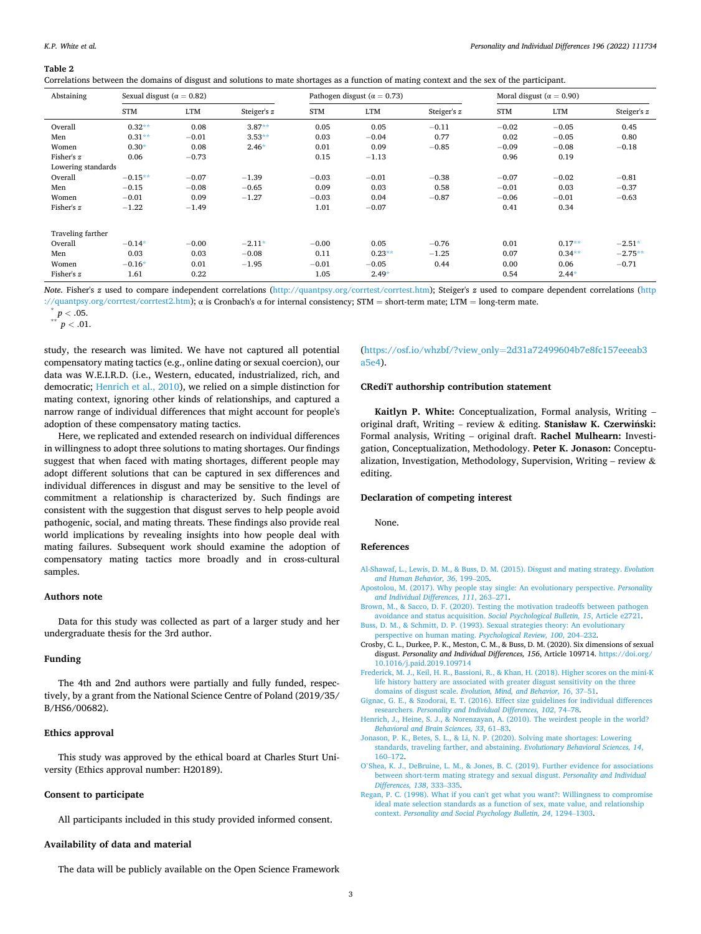<span id="page-2-0"></span>**Table 2** 

Correlations between the domains of disgust and solutions to mate shortages as a function of mating context and the sex of the participant.

| Abstaining         |            | Pathogen disgust ( $\alpha = 0.73$ )<br>Sexual disgust ( $\alpha = 0.82$ ) |             |            |            | Moral disgust ( $\alpha = 0.90$ ) |            |            |             |
|--------------------|------------|----------------------------------------------------------------------------|-------------|------------|------------|-----------------------------------|------------|------------|-------------|
|                    | <b>STM</b> | <b>LTM</b>                                                                 | Steiger's z | <b>STM</b> | <b>LTM</b> | Steiger's z                       | <b>STM</b> | <b>LTM</b> | Steiger's z |
| Overall            | $0.32**$   | 0.08                                                                       | $3.87**$    | 0.05       | 0.05       | $-0.11$                           | $-0.02$    | $-0.05$    | 0.45        |
| Men                | $0.31**$   | $-0.01$                                                                    | $3.53**$    | 0.03       | $-0.04$    | 0.77                              | 0.02       | $-0.05$    | 0.80        |
| Women              | $0.30*$    | 0.08                                                                       | $2.46*$     | 0.01       | 0.09       | $-0.85$                           | $-0.09$    | $-0.08$    | $-0.18$     |
| Fisher's z         | 0.06       | $-0.73$                                                                    |             | 0.15       | $-1.13$    |                                   | 0.96       | 0.19       |             |
| Lowering standards |            |                                                                            |             |            |            |                                   |            |            |             |
| Overall            | $-0.15**$  | $-0.07$                                                                    | $-1.39$     | $-0.03$    | $-0.01$    | $-0.38$                           | $-0.07$    | $-0.02$    | $-0.81$     |
| Men                | $-0.15$    | $-0.08$                                                                    | $-0.65$     | 0.09       | 0.03       | 0.58                              | $-0.01$    | 0.03       | $-0.37$     |
| Women              | $-0.01$    | 0.09                                                                       | $-1.27$     | $-0.03$    | 0.04       | $-0.87$                           | $-0.06$    | $-0.01$    | $-0.63$     |
| Fisher's z         | $-1.22$    | $-1.49$                                                                    |             | 1.01       | $-0.07$    |                                   | 0.41       | 0.34       |             |
| Traveling farther  |            |                                                                            |             |            |            |                                   |            |            |             |
| Overall            | $-0.14*$   | $-0.00$                                                                    | $-2.11*$    | $-0.00$    | 0.05       | $-0.76$                           | 0.01       | $0.17**$   | $-2.51*$    |
| Men                | 0.03       | 0.03                                                                       | $-0.08$     | 0.11       | $0.23**$   | $-1.25$                           | 0.07       | $0.34**$   | $-2.75**$   |
| Women              | $-0.16*$   | 0.01                                                                       | $-1.95$     | $-0.01$    | $-0.05$    | 0.44                              | 0.00       | 0.06       | $-0.71$     |
| Fisher's z         | 1.61       | 0.22                                                                       |             | 1.05       | $2.49*$    |                                   | 0.54       | $2.44*$    |             |

*Note*. Fisher's *z* used to compare independent correlations (<http://quantpsy.org/corrtest/corrtest.htm>); Steiger's *z* used to compare dependent correlations ([http](http://quantpsy.org/corrtest/corrtest2.htm)  [://quantpsy.org/corrtest/corrtest2.htm\)](http://quantpsy.org/corrtest/corrtest2.htm); α is Cronbach's α for internal consistency; STM <sup>=</sup> short-term mate; LTM <sup>=</sup> long-term mate. \* *<sup>p</sup><sup>&</sup>lt;* .05. \*\* *<sup>p</sup><sup>&</sup>lt;* .01.

study, the research was limited. We have not captured all potential compensatory mating tactics (e.g., online dating or sexual coercion), our data was W.E.I.R.D. (i.e., Western, educated, industrialized, rich, and democratic; Henrich et al., 2010), we relied on a simple distinction for mating context, ignoring other kinds of relationships, and captured a narrow range of individual differences that might account for people's adoption of these compensatory mating tactics.

Here, we replicated and extended research on individual differences in willingness to adopt three solutions to mating shortages. Our findings suggest that when faced with mating shortages, different people may adopt different solutions that can be captured in sex differences and individual differences in disgust and may be sensitive to the level of commitment a relationship is characterized by. Such findings are consistent with the suggestion that disgust serves to help people avoid pathogenic, social, and mating threats. These findings also provide real world implications by revealing insights into how people deal with mating failures. Subsequent work should examine the adoption of compensatory mating tactics more broadly and in cross-cultural samples.

#### **Authors note**

Data for this study was collected as part of a larger study and her undergraduate thesis for the 3rd author.

#### **Funding**

The 4th and 2nd authors were partially and fully funded, respectively, by a grant from the National Science Centre of Poland (2019/35/ B/HS6/00682).

## **Ethics approval**

This study was approved by the ethical board at Charles Sturt University (Ethics approval number: H20189).

## **Consent to participate**

All participants included in this study provided informed consent.

#### **Availability of data and material**

The data will be publicly available on the Open Science Framework

## (https://osf.io/whzbf/?view\_only=[2d31a72499604b7e8fc157eeeab3](https://osf.io/whzbf/?view_only=2d31a72499604b7e8fc157eeeab3a5e4) [a5e4\)](https://osf.io/whzbf/?view_only=2d31a72499604b7e8fc157eeeab3a5e4).

#### **CRediT authorship contribution statement**

**Kaitlyn P. White:** Conceptualization, Formal analysis, Writing – original draft, Writing – review & editing. **Stanisław K. Czerwinski:** ´ Formal analysis, Writing – original draft. **Rachel Mulhearn:** Investigation, Conceptualization, Methodology. **Peter K. Jonason:** Conceptualization, Investigation, Methodology, Supervision, Writing – review & editing.

#### **Declaration of competing interest**

None.

## **References**

- [Al-Shawaf, L., Lewis, D. M., & Buss, D. M. \(2015\). Disgust and mating strategy.](http://refhub.elsevier.com/S0191-8869(22)00239-2/rf202205192105209629) *Evolution [and Human Behavior, 36](http://refhub.elsevier.com/S0191-8869(22)00239-2/rf202205192105209629)*, 199–205.
- [Apostolou, M. \(2017\). Why people stay single: An evolutionary perspective.](http://refhub.elsevier.com/S0191-8869(22)00239-2/rf202205192105288216) *Personality [and Individual Differences, 111](http://refhub.elsevier.com/S0191-8869(22)00239-2/rf202205192105288216)*, 263–271.
- [Brown, M., & Sacco, D. F. \(2020\). Testing the motivation tradeoffs between pathogen](http://refhub.elsevier.com/S0191-8869(22)00239-2/rf202205192105225219) [avoidance and status acquisition.](http://refhub.elsevier.com/S0191-8869(22)00239-2/rf202205192105225219) *Social Psychological Bulletin, 15*, Article e2721. [Buss, D. M., & Schmitt, D. P. \(1993\). Sexual strategies theory: An evolutionary](http://refhub.elsevier.com/S0191-8869(22)00239-2/rf202205192105302041)
- [perspective on human mating.](http://refhub.elsevier.com/S0191-8869(22)00239-2/rf202205192105302041) *Psychological Review, 100*, 204–232.
- Crosby, C. L., Durkee, P. K., Meston, C. M., & Buss, D. M. (2020). Six dimensions of sexual disgust. *Personality and Individual Differences, 156*, Article 109714. [https://doi.org/](https://doi.org/10.1016/j.paid.2019.109714) [10.1016/j.paid.2019.109714](https://doi.org/10.1016/j.paid.2019.109714)
- [Frederick, M. J., Keil, H. R., Bassioni, R., & Khan, H. \(2018\). Higher scores on the mini-K](http://refhub.elsevier.com/S0191-8869(22)00239-2/rf202205192105244719)  [life history battery are associated with greater disgust sensitivity on the three](http://refhub.elsevier.com/S0191-8869(22)00239-2/rf202205192105244719) domains of disgust scale. *[Evolution, Mind, and Behavior, 16](http://refhub.elsevier.com/S0191-8869(22)00239-2/rf202205192105244719)*, 37–51.
- [Gignac, G. E., & Szodorai, E. T. \(2016\). Effect size guidelines for individual differences](http://refhub.elsevier.com/S0191-8869(22)00239-2/rf202205192105311840)  researchers. *[Personality and Individual Differences, 102](http://refhub.elsevier.com/S0191-8869(22)00239-2/rf202205192105311840)*, 74–78.
- [Henrich, J., Heine, S. J., & Norenzayan, A. \(2010\). The weirdest people in the world?](http://refhub.elsevier.com/S0191-8869(22)00239-2/rf202205192105324307)  *[Behavioral and Brain Sciences, 33](http://refhub.elsevier.com/S0191-8869(22)00239-2/rf202205192105324307)*, 61–83.
- [Jonason, P. K., Betes, S. L., & Li, N. P. \(2020\). Solving mate shortages: Lowering](http://refhub.elsevier.com/S0191-8869(22)00239-2/rf202205192105342014)  [standards, traveling farther, and abstaining.](http://refhub.elsevier.com/S0191-8869(22)00239-2/rf202205192105342014) *Evolutionary Behavioral Sciences, 14*, 160–[172](http://refhub.elsevier.com/S0191-8869(22)00239-2/rf202205192105342014).
- O'[Shea, K. J., DeBruine, L. M., & Jones, B. C. \(2019\). Further evidence for associations](http://refhub.elsevier.com/S0191-8869(22)00239-2/rf202205192105355015) [between short-term mating strategy and sexual disgust.](http://refhub.elsevier.com/S0191-8869(22)00239-2/rf202205192105355015) *Personality and Individual [Differences, 138](http://refhub.elsevier.com/S0191-8869(22)00239-2/rf202205192105355015)*, 333–335.
- [Regan, P. C. \(1998\). What if you can't get what you want?: Willingness to compromise](http://refhub.elsevier.com/S0191-8869(22)00239-2/rf202205192105368914)  [ideal mate selection standards as a function of sex, mate value, and relationship](http://refhub.elsevier.com/S0191-8869(22)00239-2/rf202205192105368914) context. *[Personality and Social Psychology Bulletin, 24](http://refhub.elsevier.com/S0191-8869(22)00239-2/rf202205192105368914)*, 1294–1303.